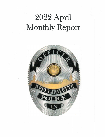# 2022 April Monthly Report

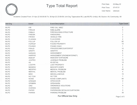

## **Type Total Report** Print Date: 02-May-22 Print Date: 02-May-22

Print Time: User Name: vdenson

Incidents Created From: 01-Apr-22 00:00:00 To: 30-Apr-22 23:59:59; Unit Org: Tippecanoe.WL.Law.WLPD; Unit(s): All; Source: All; Community: All

| <b>Unit Org</b> | <b>Event</b>  | <b>Event Description</b>    | <b>Type Count</b> |
|-----------------|---------------|-----------------------------|-------------------|
| <b>WLPD</b>     | <b>FIR</b>    | FIRE CALL MISC              | 2                 |
| <b>WLPD</b>     | <b>FIRALM</b> | <b>FIRE ALARM</b>           | 3                 |
| <b>WLPD</b>     | <b>FIRBLD</b> | FIRE BUILDING/ STRUCTURE    |                   |
| <b>WLPD</b>     | <b>FIREWK</b> | <b>FIREWORKS</b>            | $\overline{2}$    |
| <b>WLPD</b>     | <b>FIRVEH</b> | <b>VEHICLE FIRE</b>         | $\overline{a}$    |
| <b>WLPD</b>     | <b>FLGDWN</b> | <b>FLAG DOWN</b>            | $\overline{2}$    |
| <b>WLPD</b>     | <b>FOLLUP</b> | <b>FOLLOW UP</b>            | 82                |
| <b>WLPD</b>     | <b>FOPROP</b> | <b>FOUND PROPERTY</b>       | 14                |
| <b>WLPD</b>     | <b>FOUNDC</b> | <b>FOUND CHILD</b>          | $\mathbf{1}$      |
| <b>WLPD</b>     | <b>FRAUD</b>  | FRAUD/SCAM/COUNTERFEIT      | 10                |
| <b>WLPD</b>     | <b>GRAFFI</b> | <b>GRAFFITI</b>             | 6                 |
| <b>WLPD</b>     | <b>HARASS</b> | <b>HARASSMENT</b>           | 5                 |
| <b>WLPD</b>     | <b>HARPHO</b> | HARASSMENT (PHONE/INTERNET) | 3                 |
| <b>WLPD</b>     | <b>INDEXP</b> | <b>INDECENT EXPOSURE</b>    |                   |
| <b>WLPD</b>     | <b>JUVPRO</b> | <b>JUVENILE PROBLEM</b>     | 10                |
| <b>WLPD</b>     | K9            | <b>K9 DETAIL</b>            | 10                |
| <b>WLPD</b>     | LOSTPR        | <b>LOST PROPERTY</b>        | 6                 |
| <b>WLPD</b>     | <b>MANKNV</b> | <b>MAN WITH KNIFE</b>       | $\overline{2}$    |
| <b>WLPD</b>     | <b>MEDPRO</b> | <b>MEDICAL PROBLEM</b>      | 45                |
| <b>WLPD</b>     | <b>MENTAL</b> | <b>MENTAL PROBLEM</b>       | 4                 |
| <b>WLPD</b>     | <b>MISC</b>   | <b>MISCELLANEOUS</b>        | 10                |
| <b>WLPD</b>     | NO TOW        | NO TOW                      |                   |
| <b>WLPD</b>     | <b>NOISE</b>  | <b>NOISE COMPLAINTS</b>     | 64                |
| <b>WLPD</b>     | <b>OPENDR</b> | OPEN DOOR                   | $\overline{2}$    |
| <b>WLPD</b>     | <b>OPNBRN</b> | <b>OPEN BURN</b>            |                   |
| <b>WLPD</b>     | <b>ORD</b>    | ORDINANCE VIOLATIONS        | 9                 |
| <b>WLPD</b>     | <b>OVERDS</b> | <b>OVERDOSE</b>             |                   |
| <b>WLPD</b>     | <b>PAPER</b>  | PAPERWORK DETAILS/COURTWORK | 5                 |
| <b>WLPD</b>     | <b>PARKIN</b> | <b>PARKING PROBLEM</b>      | 30                |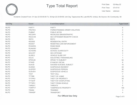

#### **Type Total Report** Print Date:

Print Time: 02-May-22 07:47:51 User Name: vdenson

Incidents Created From: 01-Apr-22 00:00:00 To: 30-Apr-22 23:59:59; Unit Org: Tippecanoe.WL.Law.WLPD; Unit(s): All; Source: All; Community: All

| <b>Unit Org</b> | <b>Event</b>  | <b>Event Description</b>           | <b>Type Count</b> |
|-----------------|---------------|------------------------------------|-------------------|
| <b>WLPD</b>     | <b>PARTY</b>  | <b>PARTY</b>                       | 4                 |
| <b>WLPD</b>     | <b>PROTEC</b> | PO/RESTRAINING ORDER VIOLATION     | $\overline{2}$    |
| <b>WLPD</b>     | <b>PUBINT</b> | PUBLIC INTOX                       | $\overline{2}$    |
| <b>WLPD</b>     | <b>RECDRV</b> | <b>RECKLESS DRIVER/TRAFFIC</b>     | 31                |
| <b>WLPD</b>     | <b>REGCHK</b> | <b>SEX OFFENDER REGISTRY CHECK</b> | 4                 |
| <b>WLPD</b>     | <b>REPO</b>   | <b>REPO</b>                        | 5                 |
| <b>WLPD</b>     | <b>RESIDE</b> | <b>RESIDENTIAL ENTRY</b>           | $\overline{2}$    |
| <b>WLPD</b>     | <b>RESIST</b> | RESISTING LAW ENFORCEMENT          |                   |
| <b>WLPD</b>     | <b>ROADRA</b> | <b>ROAD RAGE</b>                   |                   |
| <b>WLPD</b>     | <b>RUNAWY</b> | <b>RUNAWAY</b>                     | 3                 |
| <b>WLPD</b>     | <b>SCHGRD</b> | <b>SCHOOL GUARD DUTY</b>           | 8                 |
| <b>WLPD</b>     | <b>SEXOFF</b> | <b>SEX OFFENSE</b>                 | 3                 |
| <b>WLPD</b>     | <b>SLIDEO</b> | <b>VEHICLE SLIDE OFF</b>           |                   |
| <b>WLPD</b>     | <b>SOLIC</b>  | SOLICITING / PANHANDLING           |                   |
| <b>WLPD</b>     | <b>SPKSUB</b> | <b>SPEAK TO SUBJECT</b>            | 55                |
| <b>WLPD</b>     | <b>STAND</b>  | <b>STAND BY DETAIL</b>             | 8                 |
| <b>WLPD</b>     | <b>SUICID</b> | SUICIDE/ SUICIDAL SUBJECT          | 10                |
| <b>WLPD</b>     | <b>SUSINC</b> | <b>SUSPICIOUS INCIDENT</b>         | 40                |
| <b>WLPD</b>     | <b>SUSPER</b> | <b>SUSPICIOUS PERSON</b>           | 36                |
| <b>WLPD</b>     | <b>SUSVEH</b> | <b>SUSPICIOUS VEHICLE</b>          | 41                |
| <b>WLPD</b>     | <b>TEST</b>   | <b>TEST CALL</b>                   | $\overline{7}$    |
| <b>WLPD</b>     | <b>TFTBIK</b> | THEFT OF A BIKE                    | 10                |
| <b>WLPD</b>     | <b>TFTPRO</b> | THEFT OF PROPERTY                  | 30                |
| <b>WLPD</b>     | <b>TFTSHP</b> | THEFT/BY SHOPLIFTING               | 8                 |
| <b>WLPD</b>     | <b>TFTVEH</b> | THEFT FROM VEHICLE                 | $\overline{7}$    |
| <b>WLPD</b>     | <b>THREAT</b> | <b>THREATS</b>                     | 6                 |
| <b>WLPD</b>     | <b>TOWPVT</b> | <b>TOW/PRIVATE PROPERTY</b>        | 140               |
| <b>WLPD</b>     | <b>TRAINI</b> | <b>TRAINING</b>                    | 3                 |
| <b>WLPD</b>     | <b>TRANSP</b> | <b>TRANSPORT</b>                   | 4                 |

**For Official Use Only Page 3 of 5**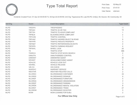

#### **Type Total Report** Print Date:

Print Time: 02-May-22 07:47:51 User Name: vdenson

Incidents Created From: 01-Apr-22 00:00:00 To: 30-Apr-22 23:59:59; Unit Org: Tippecanoe.WL.Law.WLPD; Unit(s): All; Source: All; Community: All

| <b>Unit Org</b> | <b>Event</b>  | <b>Event Description</b>             | <b>Type Count</b> |
|-----------------|---------------|--------------------------------------|-------------------|
| <b>WLPD</b>     | <b>TRESPA</b> | <b>TRESPASSING</b>                   | 11                |
| <b>WLPD</b>     | TRF24H        | <b>TRAFFIC 24 HR TAG</b>             | 10                |
| <b>WLPD</b>     | TRF72H        | <b>TRAFFIC 72 HOUR COMPLAINT</b>     |                   |
| <b>WLPD</b>     | <b>TRFBLK</b> | <b>BLOCKING DRIVE COMPLAINT</b>      | 2                 |
| <b>WLPD</b>     | <b>TRFCON</b> | <b>TRAFFIC CONTROL</b>               |                   |
| <b>WLPD</b>     | <b>TRFHAZ</b> | TRAFFIC HAZARD OBJECT IN ROAD        | 9                 |
| <b>WLPD</b>     | <b>TRFPPR</b> | <b>TRAFFIC PRIVATE PROPERTY</b>      | 3                 |
| <b>WLPD</b>     | <b>TRFREP</b> | <b>TRAFFIC REPAIR/SIGNALS/LIGHTS</b> | $\overline{2}$    |
| <b>WLPD</b>     | <b>TRFRPS</b> | <b>TRAFFIC PARKING REQUEST</b>       | 4                 |
| <b>WLPD</b>     | <b>TRFWHL</b> | <b>WHEEL LOCK</b>                    | 20                |
| <b>WLPD</b>     | <b>TS</b>     | <b>TRAFFIC STOP</b>                  | 686               |
| <b>WLPD</b>     | <b>TSSRCH</b> | <b>TRAFFIC STOP W/VEH SEARCH</b>     | $\overline{2}$    |
| <b>WLPD</b>     | <b>UNAUTH</b> | UNAUTHORIZED CONTROL                 | 1                 |
| <b>WLPD</b>     | <b>UNWANT</b> | <b>UNWANTED GUEST</b>                | 32                |
| <b>WLPD</b>     | <b>VEHAST</b> | <b>VEHICLE/MOTORIST ASSIST</b>       | 1                 |
| <b>WLPD</b>     | <b>VEHLOC</b> | <b>VEHICLE LOCK OUT</b>              | 31                |
| <b>WLPD</b>     | <b>VEHREL</b> | <b>VEHICLE RELEASE</b>               | 4                 |
| <b>WLPD</b>     | <b>VIN CH</b> | <b>VIN CHECK</b>                     | 8                 |
| <b>WLPD</b>     | <b>WARSVC</b> | <b>WARRANT SERVICE</b>               | 9                 |
| <b>WLPD</b>     | <b>WEATHR</b> | <b>WEATHER RELATED CALLS</b>         | $\overline{2}$    |
| <b>WLPD</b>     | <b>WLORDC</b> | <b>WLORDINANCE CONTAINER</b>         | 33                |
| <b>WLPD</b>     | <b>WLORDD</b> | <b>WLORDINANCE SIGNAGE</b>           | 6                 |
| <b>WLPD</b>     | <b>WLORDF</b> | <b>WLORDINANCE FURNITURE</b>         | 5                 |
| <b>WLPD</b>     | <b>WLORDG</b> | <b>WLORDINANCE GRASS/WEEDS</b>       | $\overline{c}$    |
| <b>WLPD</b>     | <b>WLORDP</b> | <b>WLORDINANCE PARKING</b>           | 3                 |
| <b>WLPD</b>     | <b>WLORDR</b> | <b>WLORDINANCE RENTAL VIOLATION</b>  | 8                 |
| <b>WLPD</b>     | WLORDT        | <b>WLORDINANCE TRASH</b>             | 27                |
| <b>WLPD</b>     | <b>WLORDW</b> | <b>WLORDINANCE SCOOTER</b>           | 5                 |
| <b>WLPD</b>     | <b>WOW</b>    | WOW LOOKING FOR SUBJ.                | 2                 |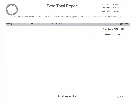

### **Type Total Report** Print Date:

Print Time: 02-May-22 07:47:51 User Name: vdenson

Incidents Created From: 01-Apr-22 00:00:00 To: 30-Apr-22 23:59:59; Unit Org: Tippecanoe.WL.Law.WLPD; Unit(s): All; Source: All; Community: All

| <b>Unit Org</b> | <b>Event</b> | <b>Event Description</b> | <b>Type Count</b>       |
|-----------------|--------------|--------------------------|-------------------------|
|                 |              |                          | Type Count - WLPD: 2349 |

**Total Incidents: 2349**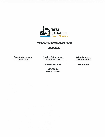

*Neighborhood Resource Team* 

*Apri/2022* 

**Code Enforcement CFS-243** 

**Parking Enforcement Tickets -1126** 

**Animal Control 35 Complaints** 

Wheel locks - 19

**\$46,500.00 (parking revenue)**  **0 sheltered**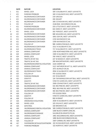|          | <b>DATE</b> | <b>NATURE</b>                                     | <b>LOCATION</b>                                                 |
|----------|-------------|---------------------------------------------------|-----------------------------------------------------------------|
| 1        | 4/1         | <b>WHEEL LOCK</b>                                 | 100 S SALISBURY ST, WEST LAFAYETTE                              |
| 2        | 4/1         | <b>PARKING PROBLEM</b>                            | 100 S CHAUNCEY AVE, WEST LAFAYETTE                              |
| 3        | 4/1         | <b>WLORDINANCE CONTAINER</b>                      | 219 LINCOLN                                                     |
| 4        | 4/1         | <b>WLORDINANCE CONTAINER</b>                      | 200 DEHART                                                      |
| 5        | 4/1         | <b>WLORDINANCE CONTAINER</b>                      | 100 E STADIUM AVE, WEST LAFAYETTE                               |
|          | 4/1         | <b>FOLLOW UP</b>                                  | 2118-632A MCCORMICK RD, WL                                      |
| 6        | 4/1         | <b>PARKING PROBLEM</b>                            |                                                                 |
| 7        | 4/1         |                                                   | 233 LITTLETON ST, WEST LAFAYETTE<br>642 EDEN ST, WEST LAFAYETTE |
| 8        | 4/1         | <b>WLORDINANCE CONTAINER</b><br><b>WHEEL LOCK</b> | 202 PIERCEST, WEST LAFAYETTE                                    |
| 9        | 4/1         |                                                   |                                                                 |
| 10       |             | <b>WLORDINANCE CONTAINER</b>                      | 606 WILSHIRE AVE, WEST LAFAYETTE                                |
| 11       | 4/1         | <b>WLORDINANCE CONTAINER</b>                      | 1001 ELM DR, WEST LAFAYETTE                                     |
| 12       | 4/1         | <b>WLORDINANCE CONTAINER</b>                      | 1720 MAYWOODST, WL                                              |
| 13       | 4/1         | <b>WLORDINANCE CONTAINER</b>                      | 1709 MAYWOOD ST, WL                                             |
| 14       | 4/1         | <b>FOLLOW UP</b>                                  | 906 CARROLTON BLVD, WEST LAFAYETTE                              |
| 15       | 4/1         | <b>WLORDINANCE CONTAINER</b>                      | 1511 N SALISBURYST, WL                                          |
| 16       | 4/4         | <b>WLORDINANCE TRASH</b>                          | 717 N SALISBURY ST, WEST LAFAYETTE                              |
| 17       | 4/4         | ANIMALCOMPLAINT                                   | 1700 NORTHWESTERN AVE, WEST LAFAYETTE                           |
| 18       | 4/4         | <b>ANIMAL COMPLAINT</b>                           | 1500 N SALISBURYST, WEST LAFAYETTE                              |
| 19       | 4/4<br>4/4  | WHEEL LOCK<br>TRAFFIC 24 HR TAG                   | 700 VINEST, WEST LAFAYETTE<br>227 W WOOD ST, WEST LAFAYETTE     |
| 20<br>21 | 4/4         | TRAFFIC 24 HR TAG                                 | 200 MACARTHUR DR S. WEST LAFAYETTE                              |
| 22       | 4/4         | WLORDINANCERENTAL VIOLATION                       | 1124 CHERRY LN                                                  |
| 23       | 4/5         | <b>ANIMALCOMPLAINT</b>                            | 1117 ANTHROP DR APT 11, WEST LAFAYETTE                          |
| 24       | 4/5         | ANIMALCOMPLAINT                                   | 3471 BURNLEY DR, WL                                             |
| 25       | 4/5         | <b>WLORDINANCE TRASH</b>                          | 2634 N SALISBURYST, WEST LAFAYETTE                              |
| 26       | 4/5         | <b>FOLLOW UP</b>                                  | 470 GOOSE CREEK                                                 |
| 27       | 4/5         | <b>PARKING PROBLEM</b>                            | <b>222 N SALISBURY</b>                                          |
| 28       | 4/5         | <b>GRAFFITI</b>                                   | 124 TAPAWINGO DRN APT BLK, WEST LAFAYETTE                       |
| 29       | 4/5         | <b>GRAFFITI</b>                                   | VINE ST/LAWN AVE, WEST LAFAYETTE                                |
| 30       | 4/6         | <b>TRAFFIC 24 HR TAG</b>                          | 2500 COVINGTON ST, WEST LAFAYETTE                               |
| 31       | 4/6         | <b>WLORDINANCE CONTAINER</b>                      | 515 BIG PINE DR, WEST LAFAYETTE                                 |
| 32       | 4/6         | <b>WLORDINANCE CONTAINER</b>                      | 4631 BIG PINE DR, WEST LAFAYETTE                                |
| 33       | 4/6         | <b>WLORDINANCE CONTAINER</b>                      | 563 BIG PINE DR, WEST LAFAYETTE                                 |
| 34       | 4/6         | <b>FOLLOW UP</b>                                  | 470 GOOSE CREEK                                                 |
| 35       | 4/6         | <b>GRAFFITI</b>                                   | VINEST/LAWN AVE, WEST LAFAYETTE                                 |
| 36       | 4/6         | <b>FOLLOW UP</b>                                  | 810 N GRANT                                                     |
| 37       | 4/6         | ORDINANCE VIOLATIONS                              | 2016 N SALISBURY ST, WEST LAFAYETTE                             |
| 38       | 4/6         | <b>WHEEL LOCK</b>                                 | 325 SYLVIA ST, WEST LAFAYETTE                                   |
| 39       | 4/6         | <b>EXPATROL</b>                                   | 320 BROWN ST, WL                                                |
| 40       | 4/6         | <b>WLORDINANCE RENTAL VIOLATION</b>               | 500 CARROLTON BLVD, WEST LAFAYETTE                              |
| 41       | 4/6         | ANIMALCOMPLAINT                                   | 1200 BLOCK CHERRY LANE, WL                                      |
| 42       | 4/6         | <b>WLORDINANCE SIGNAGE</b>                        | SALISBURY & GRANTS STS, WL                                      |
| 43       | 4/6         | ANIMALCOMPLAINT                                   | 1401 MCCORMICK RD, WEST LAFAYETTE                               |
| 44       | 4/6         | <b>ANIMALCOMPLAINT</b>                            | 1400 BLOCK MCCORMICK RD, WL                                     |
| 45       | 4/6         | <b>FOLLOW UP</b>                                  | 2307 CARMEL DR, WEST LAFAYETTE                                  |
| 46       | 4/7         | PAPERWORK DETAILS/COURTWORK                       | 222 N CHAUNCEY AVE, WEST LAFAYETTE                              |
| 47       | 4/7         | PARKING PROBLEM                                   | 122 NORTH ST, WEST LAFAYETTE                                    |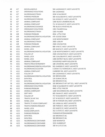| 48 | 4/7  | <b>MISCELLANEOUS</b>               | 504 LAGRANGEST, WEST LAFAYETTE           |
|----|------|------------------------------------|------------------------------------------|
| 49 | 4/7  | ORDINANCE VIOLATIONS               | 504 LAGRANGE                             |
| 50 | 4/7  | <b>WLORDINANCE TRASH</b>           | 2634 N SALISBURY                         |
| 51 | 4/7  | <b>PARKING PROBLEM</b>             | 300 N SALISBURYST, WEST LAFAYETTE        |
| 52 | 4/7  | <b>WLORDINANCE PARKING</b>         | 524 DODGE ST, WEST LAFAYETTE             |
| 53 | 4/7  | ANIMALCOMPLAINT                    | 1200 BLOCK LINDBERG RD, WL               |
| 54 | 4/7  | ANIMALCOMPLAINT                    | 711 W NAVAJO ST, WEST LAFAYETTE          |
| 55 | 4/7  | <b>WLORDINANCE SIGNAGE</b>         | 700 BLOCKS RIVER RD, WL                  |
| 56 | 4/7  | ORDINANCE VIOLATIONS               | 1301 PALMER Drive                        |
| 57 | 4/7  | <b>WLORDINANCE TRASH</b>           | 1305 PALMER                              |
| 58 | 4/8  | <b>PARKING PROBLEM</b>             | 4914 LITTLE PINE                         |
| 59 | 4/8  | <b>WLORDINANCE RENTALVIOLATION</b> | 470 GOOSE CREEK                          |
| 60 | 4/8  | ANIMALCOMPLAINT                    | 1220 MONTGOMERY                          |
| 61 | 4/8  | <b>WLORDINANCE TRASH</b>           | 2600 LISBURY                             |
| 62 | 4/8  | <b>PARKING PROBLEM</b>             | 2500 COVINGTON                           |
| 63 | 4/10 | ANIMALCOMPLAINT                    | 680 VINEST, WEST LAFAYETTE               |
| 64 | 4/11 | <b>WHEEL LOCK</b>                  | 400 MAPLE ST, WEST LAFAYETTE             |
| 65 | 4/11 | WLORDINANCE RENTALVIOLATION        | 1118 MONTGOMERYST, WEST LAFAYETTE        |
| 66 | 4/11 | <b>FOLLOW UP</b>                   | 2500 COVINGTON ST, WEST LAFAYETTE        |
| 67 | 4/11 | <b>WHEEL LOCK</b>                  | 140 S SALISBURYST, WEST LAFAYETTE        |
| 68 | 4/11 | <b>WHEEL LOCK</b>                  | 1300 DISTRICT BLVD, WEST LAFAYETTE       |
| 69 | 4/11 | ANIMALCOMPLAINT                    | N RIVER RD/ HAPPY HOLLOW RD              |
| 70 | 4/11 | TRAFFIC PRIVATE PROPERTY           | 108 S RIVER RD, WEST LAFAYETTE           |
| 71 | 4/11 | WLORDINANCE RENTAL VIOLATION       | 915 GARDEN ST, WEST LAFAYETTE            |
| 72 | 4/12 | <b>WLORDINANCE SCOOTER</b>         | S GRANT ST/HARRISON ST, WEST LAFAYETTE   |
| 73 | 4/12 | ANIMALCOMPLAINT                    | CARBERRY DR, WEST LAFAYETTE              |
| 74 | 4/12 | <b>FOLLOW UP</b>                   | 504 LAGRANGEST, WEST LAFAYETTE           |
| 75 | 4/12 | WLORDINANCE RENTAL VIOLATION       | 320 BROWN #504                           |
| 76 | 4/12 | <b>EXPATROL</b>                    | 124 SUMAC DR, WL                         |
| 77 | 4/12 | <b>EXPATROL</b>                    | 320 BROWN ST, WL                         |
| 78 | 4/12 | WLORDINANCE RENTAL VIOLATION       | 320 BROWN ST APT APT 521, WEST LAFAYETTE |
| 79 | 4/12 | ORDINANCE VIOLATIONS               | 2016 N SALISBURY ST, WEST LAFAYETTE      |
| 80 | 4/12 | <b>PARKING PROBLEM</b>             | 4942 LITTLE PINE DR                      |
| 81 | 4/12 | ANIMALCOMPLAINT                    | 1200 MCCORMICK RD, WEST LAFAYETTE        |
| 82 | 4/12 | <b>DEPTINFO</b>                    | 605 ISAIAH ST, WEST LAFAYETTE            |
| 83 | 4/12 | <b>FOLLOW UP</b>                   | 717 N SALISBURYST, WEST LAFAYETTE        |
| 84 | 4/12 | TRAFFIC 24 HR TAG                  | 227 W WOOD ST, WEST LAFAYETTE            |
| 85 | 4/13 | <b>WHEEL LOCK</b>                  | 100 W FOWLER AVE, WEST LAFAYETTE         |
| 86 | 4/13 | TRAFFIC 72 HOUR COMPLAINT          | 101 LINDA LN, WEST LAFAYETTE             |
| 87 | 4/13 | <b>TRAFFICPARKING REQUEST</b>      | 100 PIERCE ST, WEST LAFAYETTE            |
| 88 | 4/13 | <b>WHEEL LOCK</b>                  | 253 SHEETZ ST, WEST LAFAYETTE            |
| 89 | 4/13 | NOISE COMPLAINTS                   | 352 E STATE ST, WEST LAFAYETTE           |
| 90 | 4/13 | <b>PARKING PROBLEM</b>             | PARAMOUNT/SAGAMORE                       |
| 91 | 4/13 | <b>EXPATROL</b>                    | 320 BROWN ST, WL                         |
| 92 | 4/13 | <b>EXPATROL</b>                    | 360 BROWN ST, WL                         |
| 93 | 4/13 | WLORDINANCE CONTAINER              | 1019 MARWYCK                             |
| 94 | 4/13 | <b>WLORDINANCE CONTAINER</b>       | 3151 HUMBOLDT                            |
| 95 | 4/13 | <b>WLORDINANCE CONTAINER</b>       | 330 W LUTZ ST, WL                        |
|    |      |                                    |                                          |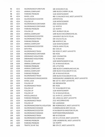| 96         | 4/13 | <b>WLORDINANCE FURNITURE</b> | 106 WIGGINS ST, WL                       |
|------------|------|------------------------------|------------------------------------------|
| 97         | 4/13 | ANIMALCOMPLAINT              | 1400 BLOCK CHERRY LN, WL                 |
| 98         | 4/13 | <b>PARKING PROBLEM</b>       | 1126 MONTGOMERY                          |
| 99         | 4/14 | <b>WHEEL LOCK</b>            | 400 S CHAUNCEY AVE, WEST LAFAYETTE       |
| 100        | 4/14 | WLORDINANCE SCOOTER          | AIRPORT/231                              |
| 101        | 4/14 | <b>FOLLOW UP</b>             | 1126 MONTGOMERY                          |
| 102        | 4/14 | WLORDINANCE CONTAINER        | 2925 MANCHESTER                          |
| 103        | 4/14 | WLORDINANCE CONTAINER        | 112 MYRTLE                               |
| 104        | 4/14 | <b>PARKING PROBLEM</b>       | 122 NORTH                                |
| 105        | 4/14 | <b>FOLLOW UP</b>             | 3471 BURNLEY DR, WL                      |
| 106        | 4/14 | <b>ANIMALCOMPLAINT</b>       | 1200 BLOCK MCCORMICK RD, WL              |
| 107        | 4/14 | WLORDINANCE SCOOTER          | UNIVERSITY & STATE STS, WL               |
| 108        | 4/14 | <b>WLORDINANCE TRASH</b>     | 339 SYLVIA STS, WL                       |
| 109        | 4/14 | <b>PARKING PROBLEM</b>       | 308 NORTH ST, WL                         |
| 110        | 4/14 | ANIMAL COMPLAINT             | 1220 MONTGOMERY                          |
| 111        | 4/14 | <b>WLORDINANCE SCOOTER</b>   | VINE & LAWN STS, WL                      |
| 112        | 4/14 | <b>EXPATROL</b>              | 602 OAKLN                                |
| 113        | 4/18 | <b>WLORDINANCE TRASH</b>     | 910 ROSE ST, WEST LAFAYETTE              |
| 114        | 4/18 | WLORDINANCE CONTAINER        | <b>920 ROSE</b>                          |
| 115        | 4/18 | ORDINANCE VIOLATIONS         | 2622 COVINGTON                           |
| 116        | 4/18 | ORDINANCE VIOLATIONS         | 711 W NAVAJO                             |
| 117        | 4/18 | <b>FOLLOW UP</b>             | 1220 MONTGOMERYST, WL                    |
| 118        | 4/18 | ANIMALCOMPLAINT              | 711 W NAVAJO DR, WL                      |
|            | 4/18 | <b>PARKING PROBLEM</b>       | 235 LITTLETON                            |
| 119<br>120 | 4/18 | ANIMALCOMPLAINT              | 1000 BLOCK CUMBERLAND AVE, WL            |
| 121        | 4/18 | ANIMALCOMPLAINT              | 2200 BLOCK N SALISBURY ST, WL            |
| 122        | 4/18 | PARKING PROBLEM              | 105 W NAVAJO DR, WL                      |
|            | 4/18 | <b>WLORDINANCE TRASH</b>     |                                          |
| 123        |      |                              | 2200 BLOCK N SALISBURY ST, WL            |
| 124        | 4/19 | WLORDINANCE GRASS/WEEDS      | SHERIDAN RD/ LINDBERG RD, WEST LAFAYETTE |
| 125        | 4/19 | <b>WHEEL LOCK</b>            | 900 1ST ST, WEST LAFAYETTE               |
| 126        | 4/19 | <b>FOLLOW UP</b>             | 320 BROWN #705                           |
| 127        | 4/19 | <b>WLORDINANCE TRASH</b>     | 835 ROSE                                 |
| 128        | 4/19 | <b>FOLLOW UP</b>             | 717 N SALISBURY ST, WL                   |
| 129        | 4/19 | <b>FOLLOW UP</b>             | 1126 MONTGOMERY                          |
| 130        | 4/19 | <b>FOLLOW UP</b>             | 711 W NAVAJO DR, WL                      |
| 131        | 4/19 | <b>MISCELLANEOUS</b>         | 111 N 4TH ST, LAFAYETTE                  |
| 132        | 4/19 | PARKING PROBLEM              | 101 LINDA LN, WEST LAFAYETTE             |
| 133        | 4/19 | <b>WLORDINANCE TRASH</b>     | 2111 MCCORMICK RD                        |
| 134        | 4/19 | <b>FOLLOW UP</b>             | 504 LAGRANGE                             |
| 135        | 4/19 | WLORDINANCE RENTAL VIOLATION | 900 ROBINSON ST, WEST LAFAYETTE          |
| 136        | 4/19 | WLORDINANCE SIGNAGE          | <b>CUMBERLAND &amp; KENT AVE, WL</b>     |
| 137        | 4/19 | WLORDINANCE SCOOTER          | N SALISBURY & KINGSTON STS, WL           |
| 138        | 4/20 | <b>WLORDINANCE SIGNAGE</b>   | NORTHWESTERN/WINDSOR                     |
| 139        | 4/20 | <b>WLORDINANCE TRASH</b>     | 400 W STADIUM                            |
| 140        | 4/20 | <b>WLORDINANCE CONTAINER</b> | 219 W LUTZ AVE, WEST LAFAYETTE           |
| 141        | 4/20 | PARKING PROBLEM              | 1700 LINDBERG RD, WEST LAFAYETTE         |
| 142        | 4/20 | PARKING PROBLEM              | 122 NORTH                                |
| 143        | 4/20 | TRAFFIC 24 HR TAG            | 900 5TH ST, WEST LAFAYETTE               |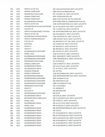| 144 | 4/20 | <b>TRAFFIC 24 HR TAG</b>        | 100 S MACARTHUR DR, WEST LAFAYETTE                                   |
|-----|------|---------------------------------|----------------------------------------------------------------------|
| 145 | 4/20 | ANIMALCOMPLAINT                 | 1000 BLOCK KALBERER RD, WL                                           |
| 146 | 4/20 | ORDINANCE VIOLATIONS            | 247 E SUNSET LN, WEST LAFAYETTE                                      |
| 147 | 4/20 | ANIMALCOMPLAINT                 | 3407 WYNDHAM WAY, WL                                                 |
| 148 | 4/20 | ANIMALCOMPLAINT                 | 6026 FLINTLOCK DR, BATTLE GROUND                                     |
| 149 | 4/20 | <b>WLORDINANCE SIGNAGE</b>      | NORTHWESTERN & CUMBERLAND AVES, WL                                   |
| 150 | 4/21 | TRAFFIC 24 HR TAG               | 1748 NORTHWESTERN AVE, WEST LAFAYETTE                                |
| 151 | 4/21 | PAPERWORK DETAILS/COURTWORK     | 222 N CHAUNCEY AVE, WEST LAFAYETTE                                   |
| 152 | 4/21 | <b>FOLLOW UP</b>                | 247 E SUNSETLN, WEST LAFAYETTE                                       |
| 153 | 4/21 | TRAFFICHAZARD OBJECT IN ROAD    | 202 NORTHWESTERN AVE, WEST LAFAYETTE                                 |
| 154 | 4/21 | TRAFFIC 24 HR TAG               | 318 WALDRON ST, WEST LAFAYETTE                                       |
| 155 | 4/21 | WLORDINANCE GRASS/WEEDS         | 1134 ANTHROP DR WEST LAFAYETTE                                       |
| 156 | 4/21 | TRAFFIC PARKING REQUEST         | 1300 DISTRICT BLVD, WEST LAFAYETTE                                   |
| 157 | 4/21 | <b>FOLLOW UP</b>                |                                                                      |
| 158 | 4/21 |                                 | 320 BROWN ST APT 704, WEST LAFAYETTE<br>124 SUMAC DR, WEST LAFAYETTE |
|     |      | EXPATROL                        |                                                                      |
| 159 | 4/21 | <b>GRAFFITI</b>                 | 475 BROWN ST, WEST LAFAYETTE                                         |
| 160 | 4/21 | <b>GRAFFITI</b>                 | 400 BROWN ST, WEST LAFAYETTE                                         |
| 161 | 4/21 | WLORDINANCE CONTAINER           | 200 QUINCYST, WEST LAFAYETTE                                         |
| 162 | 4/21 | <b>WHEEL LOCK</b>               | 1228 W STATE ST, WEST LAFAYETTE                                      |
| 163 | 4/21 | <b>WLORDINANCE CONTAINER</b>    | 2821 ASHLAND ST, WEST LAFAYETTE                                      |
| 164 | 4/21 | WLORDINANCE CONTAINER           | 2706 HENDERSON ST, WEST LAFAYETTE                                    |
| 165 | 4/21 | <b>ORDINANCEVIOLATIONS</b>      | 711 W NAVAJO                                                         |
| 166 | 4/22 | ANIMALCOMPLAINT                 | 1510 N GRANTST, WEST LAFAYETTE                                       |
| 167 | 4/22 | <b>WLORDINANCE TRASH</b>        | 226 W LUTZ AVE, WEST LAFAYETTE                                       |
| 168 | 4/22 | <b>WLORDINANCE TRASH</b>        | 312 W OAK ST, WEST LAFAYETTE                                         |
| 169 | 4/22 | <b>PARKING PROBLEM</b>          | 101 MYTRLE                                                           |
| 170 | 4/22 | ANIMALCOMPLAINT                 | 2118 MCCORMICK RD, WEST LAFAYETTE                                    |
| 171 | 4/22 | WLORDINANCEPARKING              | 1310 NORTHWESTERN AVE, WEST LAFAYETTE                                |
| 172 | 4/22 | WLORDINANCE CONTAINER           | 1607 N GRANTST, WL                                                   |
| 173 | 4/22 | WLORDINANCECONTAINER            | 106 MERIDIAN ST, WL                                                  |
| 174 | 4/22 | WLORDINANCE CONTAINER           | 1400 N SALISBURY ST, WL                                              |
| 175 | 4/22 | ORDINANCE VIOLATIONS            | 105 E COLUMBIA                                                       |
| 176 | 4/22 | <b>GRAFFITI</b>                 | 212 BROWN ST                                                         |
| 177 | 4/22 | <b>FOLLOW UP</b>                | 320 BROWN #705                                                       |
| 178 | 4/22 | <b>WLORDINANCE CONTAINER</b>    | <b>910 ROSE</b>                                                      |
| 179 | 4/22 | <b>WLORDINANCE TRASH</b>        | 218 OAK LN, WEST LAFAYETTE                                           |
| 180 | 4/25 | <b>BLOCKING DRIVE COMPLAINT</b> | 100 S CHAUNCEY AVE, WEST LAFAYETTE                                   |
| 181 | 4/25 | <b>WHEEL LOCK</b>               | 100 PIERCE ST, WEST LAFAYETTE                                        |
| 182 | 4/25 | <b>WLORDINANCE TRASH</b>        | 226 W LUTZ AVE, WEST LAFAYETTE                                       |
| 183 | 4/25 | <b>WHEEL LOCK</b>               | 400 W WOOD ST, WEST LAFAYETTE                                        |
| 184 | 4/25 | <b>WLORDINANCETRASH</b>         | 400 NORTHWESTERN AVE, WEST LAFAYETTE                                 |
| 185 | 4/25 | <b>WLORDINANCE TRASH</b>        | 345 SYLVIA                                                           |
| 186 | 4/25 | <b>WLORDINANCE TRASH</b>        | 472 N SALISBURY ST, WEST LAFAYETTE                                   |
| 187 | 4/25 | <b>WLORDINANCE TRASH</b>        | 506 W STADIUM AVE, WEST LAFAYETTE                                    |
| 188 | 4/25 | <b>WLORDINANCE TRASH</b>        | 249 S CHAUNCEY AVE, WEST LAFAYETTE                                   |
| 189 | 4/25 | <b>WLORDINANCE TRASH</b>        | 360 N SALISBURY ST, WEST LAFAYETTE                                   |
| 190 | 4/25 | <b>WLORDINANCETRASH</b>         | 411 N SALISBURY ST, WEST LAFAYETTE                                   |
| 191 | 4/25 | <b>WLORDINANCE TRASH</b>        | 414 N SALISBURY ST, WEST LAFAYETTE                                   |
|     |      |                                 |                                                                      |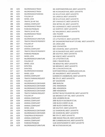| 192 | 4/25 | <b>WLORDINANCE TRASH</b>     | 341 NORTHWESTERN AVE, WEST LAFAYETTE          |
|-----|------|------------------------------|-----------------------------------------------|
| 193 | 4/25 | <b>WLORDINANCE TRASH</b>     | 435 N CHAUNCEY AVE, WEST LAFAYETTE            |
| 194 | 4/25 | <b>WLORDINANCE PARKING</b>   | 214 W LUTZ AVE, WEST LAFAYETTE                |
| 195 | 4/25 | <b>FOLLOW UP</b>             | 101 LINDA LN, WEST LAFAYETTE                  |
| 196 | 4/25 | <b>WHEEL LOCK</b>            | 330 W LUTZ AVE, WEST LAFAYETTE                |
| 197 | 4/25 | TRAFFIC 24 HR TAG            | 207 E NAVAJO ST, WEST LAFAYETTE               |
| 198 | 4/26 | ANIMALCOMPLAINT              | 3553 BETHEL DR, WEST LAFAYETTE                |
| 199 | 4/26 | <b>WLORDINANCETRASH</b>      | 913 LAGRANGEST, WEST LAFAYETTE                |
| 200 | 4/26 | PARKING PROBLEM              | 122 NORTHST, WEST LAFAYETTE                   |
| 201 | 4/26 | TRAFFIC 24 HR TAG            | 417 WALDRON ST, WEST LAFAYETTE                |
| 202 | 4/26 | <b>WLORDINANCE TRASH</b>     | 1301 PALMER                                   |
| 203 | 4/26 | <b>FOLLOW UP</b>             | 1126 MONTGOMERY                               |
| 204 | 4/26 | <b>WLORDINANCE FURNITURE</b> | 172 LITTLETON ST, WEST LAFAYETTE              |
| 205 | 4/27 | TRAFFIC PRIVATE PROPERTY     | 307 SAGAMORE PKWYWAPT STE 400, WEST LAFAYETTE |
| 206 | 4/27 | <b>FOLLOW UP</b>             | 101 LINDA LANE                                |
| 207 | 4/27 | <b>FOLLOW UP</b>             | 2622 COVINGTON                                |
| 208 | 4/27 | ANIMALCOMPLAINT              | 500 S RIVER RD, WEST LAFAYETTE                |
| 209 | 4/27 | TRAFFIC PRIVATE PROPERTY     | 102 N CHAUNCEY AVE, WEST LAFAYETTE            |
| 210 | 4/27 | <b>PARKING PROBLEM</b>       | 200 SOUTH ST, WEST LAFAYETTE                  |
| 211 | 4/27 | <b>WHEEL LOCK</b>            | 344 VINEST, WEST LAFAYETTE                    |
| 212 | 4/27 | <b>WLORDINANCE FURNITURE</b> | 172 LITTLETON ST, WL                          |
| 213 | 4/27 | <b>FOLLOW UP</b>             | 2340-C YEAGER RD, WL                          |
| 214 | 4/27 | <b>WHEEL LOCK</b>            | 730 BEXLEY RD, WEST LAFAYETTE                 |
| 215 | 4/27 | <b>EXPATROL</b>              | 320 BROWN ST, WEST LAFAYETTE                  |
| 216 | 4/27 | <b>EXPATROL</b>              | 249 S CHAUNCEYAVE, WL                         |
| 217 | 4/27 | <b>WLORDINANCE SIGNAGE</b>   | NORTHWESTERN & CUMBERLAND AVES, WL            |
| 218 | 4/27 | <b>WHEEL LOCK</b>            | 201 WALDRON ST, WEST LAFAYETTE                |
| 219 | 4/28 | ANIMALCOMPLAINT              | GARDEN ST/ LINDBERG RD, WEST LAFAYETTE        |
| 220 | 4/28 | TRAFFIC PARKING REQUEST      | 900 5TH ST, WEST LAFAYETTE                    |
| 221 | 4/28 | <b>FOLLOW UP</b>             | 307 SAGOMORE                                  |
| 222 | 4/28 | WLORDINANCE CONTAINER        | 2840 BARLOW                                   |
| 223 | 4/28 | <b>WLORDINANCE CONTAINER</b> | 2701 HENDERSON                                |
| 224 | 4/28 | <b>WLORDINANCE CONTAINER</b> | 2801 HENDERSON                                |
| 225 | 4/28 | <b>WLORDINANCE CONTAINER</b> | 2909 HENDERSON                                |
| 226 | 4/28 | TRAFFIC PARKING REQUEST      | DISTRICT BLVD/FOUNDRYDR, WEST LAFAYETTE       |
| 227 | 4/28 | <b>FOLLOW UP</b>             | 320 BROWN ST APT 705, WEST LAFAYETTE          |
| 228 | 4/28 | ANIMALCOMPLAINT              | 1016 LINDBERG RD, WL                          |
| 229 | 4/28 | <b>ANIMALCOMPLAINT</b>       | 2000 BLOCK N SALISBURY ST, WL                 |
| 230 | 4/28 | ANIMALCOMPLAINT              | 1300 BLOCK CHERRY LN, WL                      |
| 231 | 4/28 | ANIMALCOMPLAINT              | 1400 BLOCK CHERRY LN, WL                      |
| 232 | 4/29 | WHEEL LOCK                   | 100 SOUTH ST, WEST LAFAYETTE                  |
|     |      | WLORDINANCE CONTAINER        | 112 SHARON RD, WEST LAFAYETTE                 |
| 233 | 4/29 |                              |                                               |
| 234 | 4/29 | <b>WLORDINANCE CONTAINER</b> | 335 SHARON RD, WEST LAFAYETTE                 |
| 235 | 4/29 | TOW/PRIVATE PROPERTY         | 900 5TH ST, WEST LAFAYETTE                    |
| 236 | 4/29 | ANIMALCOMPLAINT              | 1969 INDIAN TRAILDR, WEST LAFAYETTE           |
| 237 | 4/29 | ANIMALCOMPLAINT              | 600 CUMBERLAND AVE, WEST LAFAYETTE            |
| 238 | 4/29 | PARKING PROBLEM              | 1126 MONTGOMERY ST, WEST LAFAYETTE            |
| 239 | 4/29 | WLORDINANCEFURNITURE         | 400 W STADIUM AVE, WL                         |